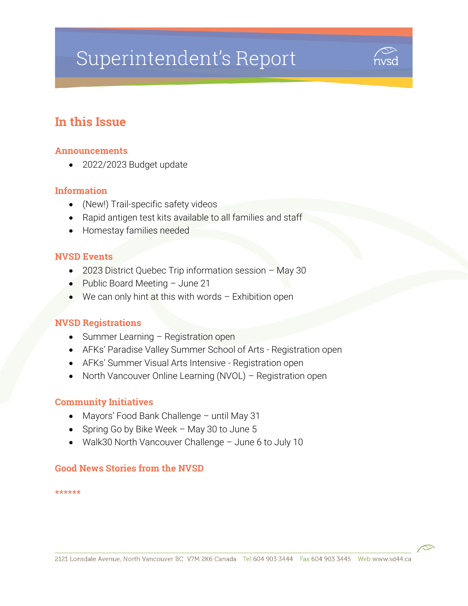# Superintendent's Report



# In this Issue

#### Announcements

• 2022/2023 Budget update

#### Information

- (New!) Trail-specific safety videos
- Rapid antigen test kits available to all families and staff
- Homestay families needed

#### NVSD Events

- 2023 District Quebec Trip information session May 30
- Public Board Meeting June 21
- We can only hint at this with words Exhibition open

#### NVSD Registrations

- Summer Learning Registration open
- AFKs' Paradise Valley Summer School of Arts Registration open
- AFKs' Summer Visual Arts Intensive Registration open
- North Vancouver Online Learning (NVOL) Registration open

#### Community Initiatives

- Mayors' Food Bank Challenge until May 31
- Spring Go by Bike Week May 30 to June 5
- Walk30 North Vancouver Challenge June 6 to July 10

#### Good News Stories from the NVSD

\*\*\*\*\*\*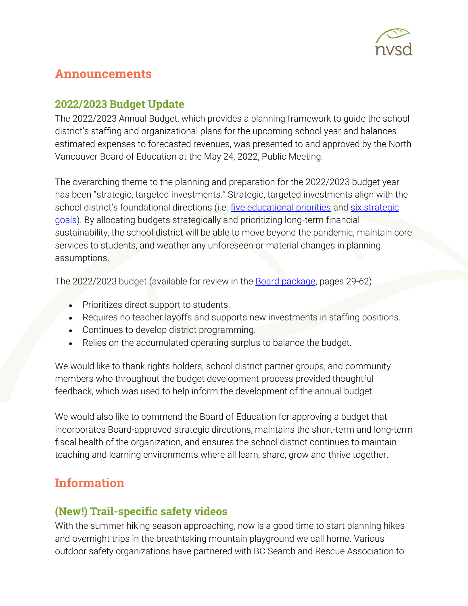

# Announcements

## 2022/2023 Budget Update

The 2022/2023 Annual Budget, which provides a planning framework to guide the school district's staffing and organizational plans for the upcoming school year and balances estimated expenses to forecasted revenues, was presented to and approved by the North Vancouver Board of Education at the May 24, 2022, Public Meeting.

The overarching theme to the planning and preparation for the 2022/2023 budget year has been "strategic, targeted investments." Strategic, targeted investments align with the school district's foundational directions (i.e. [five educational priorities](https://www.sd44.ca/priorities/Pages/default.aspx#/=) and [six strategic](https://www.sd44.ca/Board/StrategicPlan/Pages/default.aspx#/=)  [goals\)](https://www.sd44.ca/Board/StrategicPlan/Pages/default.aspx#/=). By allocating budgets strategically and prioritizing long-term financial sustainability, the school district will be able to move beyond the pandemic, maintain core services to students, and weather any unforeseen or material changes in planning assumptions.

The 2022/2023 budget (available for review in the **Board package**, pages 29-62):

- Prioritizes direct support to students.
- Requires no teacher layoffs and supports new investments in staffing positions.
- Continues to develop district programming.
- Relies on the accumulated operating surplus to balance the budget.

We would like to thank rights holders, school district partner groups, and community members who throughout the budget development process provided thoughtful feedback, which was used to help inform the development of the annual budget.

We would also like to commend the Board of Education for approving a budget that incorporates Board-approved strategic directions, maintains the short-term and long-term fiscal health of the organization, and ensures the school district continues to maintain teaching and learning environments where all learn, share, grow and thrive together.

# Information

## (New!) Trail-specific safety videos

With the summer hiking season approaching, now is a good time to start planning hikes and overnight trips in the breathtaking mountain playground we call home. Various outdoor safety organizations have partnered with BC Search and Rescue Association to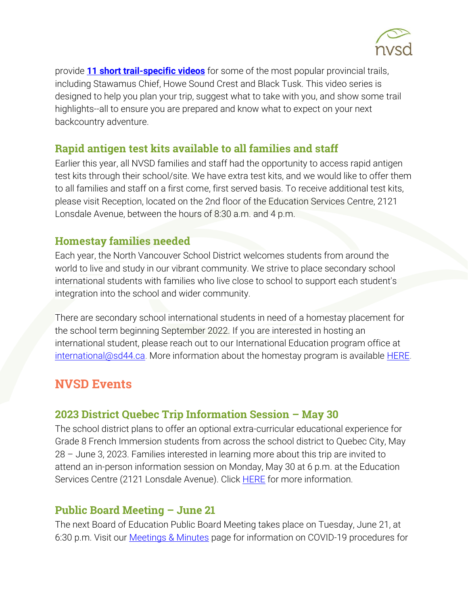

provide **[11 short trail-specific videos](https://bcsara.com/outdoor-education/safety-videos/)** for some of the most popular provincial trails, including Stawamus Chief, Howe Sound Crest and Black Tusk. This video series is designed to help you plan your trip, suggest what to take with you, and show some trail highlights--all to ensure you are prepared and know what to expect on your next backcountry adventure.

## Rapid antigen test kits available to all families and staff

Earlier this year, all NVSD families and staff had the opportunity to access rapid antigen test kits through their school/site. We have extra test kits, and we would like to offer them to all families and staff on a first come, first served basis. To receive additional test kits, please visit Reception, located on the 2nd floor of the Education Services Centre, 2121 Lonsdale Avenue, between the hours of 8:30 a.m. and 4 p.m.

## Homestay families needed

Each year, the North Vancouver School District welcomes students from around the world to live and study in our vibrant community. We strive to place secondary school international students with families who live close to school to support each student's integration into the school and wider community.

There are secondary school international students in need of a homestay placement for the school term beginning September 2022. If you are interested in hosting an international student, please reach out to our International Education program office at [international@sd44.ca.](mailto:international@sd44.ca) More information about the homestay program is available **HERE**.

# **NVSD Events**

## **2023 District Quebec Trip Information Session – May 30**

The school district plans to offer an optional extra-curricular educational experience for Grade 8 French Immersion students from across the school district to Quebec City, May 28 – June 3, 2023. Families interested in learning more about this trip are invited to attend an in-person information session on Monday, May 30 at 6 p.m. at the Education Services Centre (2121 Lonsdale Avenue). Click **HERE** for more information.

#### **Public Board Meeting – June 21**

The next Board of Education Public Board Meeting takes place on Tuesday, June 21, at 6:30 p.m. Visit our [Meetings & Minutes](https://www.sd44.ca/Board/Meetings/Pages/default.aspx#/=) page for information on COVID-19 procedures for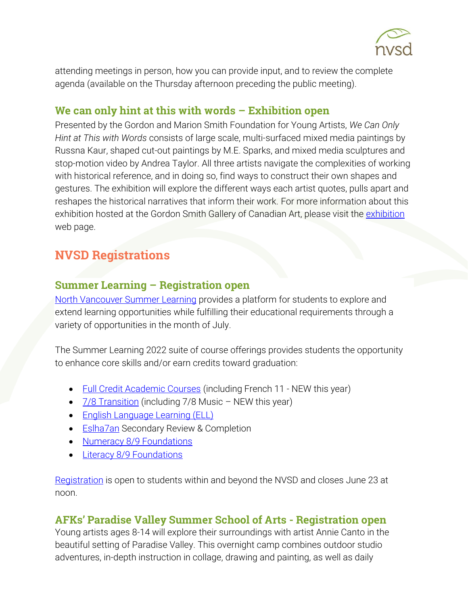

attending meetings in person, how you can provide input, and to review the complete agenda (available on the Thursday afternoon preceding the public meeting).

#### We can only hint at this with words – Exhibition open

Presented by the Gordon and Marion Smith Foundation for Young Artists, *We Can Only Hint at This with Words* consists of large scale, multi-surfaced mixed media paintings by Russna Kaur, shaped cut-out paintings by M.E. Sparks, and mixed media sculptures and stop-motion video by Andrea Taylor. All three artists navigate the complexities of working with historical reference, and in doing so, find ways to construct their own shapes and gestures. The exhibition will explore the different ways each artist quotes, pulls apart and reshapes the historical narratives that inform their work. For more information about this exhibition hosted at the Gordon Smith Gallery of Canadian Art, please visit the [exhibition](https://www.sd44.ca/school/artistsforkids/Visit/Exhibitions/Pages/default.aspx#/=) web page.

# NVSD Registrations

#### Summer Learning – Registration open

[North Vancouver Summer Learning](https://www.sd44.ca/school/summer/Pages/default.aspx#/=) provides a platform for students to explore and extend learning opportunities while fulfilling their educational requirements through a variety of opportunities in the month of July.

The Summer Learning 2022 suite of course offerings provides students the opportunity to enhance core skills and/or earn credits toward graduation:

- [Full Credit Academic Courses](https://www.sd44.ca/school/summer/ProgramsServices/FullCredit/Pages/default.aspx#/=) (including French 11 NEW this year)
- [7/8 Transition](https://www.sd44.ca/school/summer/ProgramsServices/Grade78TransitionCourses/Pages/default.aspx#/=) (including 7/8 Music NEW this year)
- [English Language Learning \(ELL\)](https://www.sd44.ca/school/summer/ProgramsServices/ELL/Pages/default.aspx#/=)
- **[Eslha7an](https://www.sd44.ca/school/summer/ProgramsServices/Pages/Eslha7an.aspx#/=) Secondary Review & Completion**
- [Numeracy 8/9 Foundations](https://www.sd44.ca/school/summer/ProgramsServices/Numeracy/Pages/default.aspx#/=)
- Literacy 8/9 [Foundations](https://www.sd44.ca/school/summer/ProgramsServices/Literacy/Pages/default.aspx#/=)

[Registration](https://www.sd44.ca/school/summer/Registration/Pages/default.aspx#/=) is open to students within and beyond the NVSD and closes June 23 at noon.

#### AFKs' Paradise Valley Summer School of Arts - Registration open

Young artists ages 8-14 will explore their surroundings with artist Annie Canto in the beautiful setting of Paradise Valley. This overnight camp combines outdoor studio adventures, in-depth instruction in collage, drawing and painting, as well as daily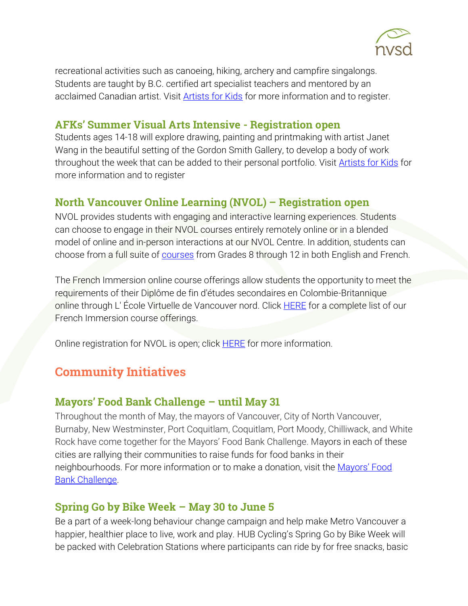

recreational activities such as canoeing, hiking, archery and campfire singalongs. Students are taught by B.C. certified art specialist teachers and mentored by an acclaimed Canadian artist. Visit [Artists for Kids](https://www.sd44.ca/school/artistsforkids/learn/paradisevalleysummervisualartscamps/Pages/default.aspx#/=) for more information and to register.

#### AFKs' Summer Visual Arts Intensive - Registration open

Students ages 14-18 will explore drawing, painting and printmaking with artist Janet Wang in the beautiful setting of the Gordon Smith Gallery, to develop a body of work throughout the week that can be added to their personal portfolio. Visit [Artists for Kids](https://www.sd44.ca/school/artistsforkids/learn/springandsummerdaycamps/Pages/default.aspx#/=) for more information and to register

## North Vancouver Online Learning (NVOL) – Registration open

NVOL provides students with engaging and interactive learning experiences. Students can choose to engage in their NVOL courses entirely remotely online or in a blended model of online and in-person interactions at our NVOL Centre. In addition, students can choose from a full suite of [courses](https://www.sd44.ca/school/onlinelearning/ProgramsServices/Courses/Pages/default.aspx#/=) from Grades 8 through 12 in both English and French.

The French Immersion online course offerings allow students the opportunity to meet the requirements of their Diplôme de fin d'études secondaires en Colombie-Britannique online through L' École Virtuelle de Vancouver nord. Click **HERE** for a complete list of our French Immersion course offerings.

Online registration for NVOL is open; click **HERE** for more information.

# Community Initiatives

#### Mayors' Food Bank Challenge – until May 31

Throughout the month of May, the mayors of Vancouver, City of North Vancouver, Burnaby, New Westminster, Port Coquitlam, Coquitlam, Port Moody, Chilliwack, and White Rock have come together for the Mayors' Food Bank Challenge. Mayors in each of these cities are rallying their communities to raise funds for food banks in their neighbourhoods. For more information or to make a donation, visit the [Mayors' Food](https://mayorschallenge.foodbank.bc.ca/)  [Bank Challenge.](https://mayorschallenge.foodbank.bc.ca/)

#### Spring Go by Bike Week – May 30 to June 5

Be a part of a week-long behaviour change campaign and help make Metro Vancouver a happier, healthier place to live, work and play. HUB Cycling's Spring Go by Bike Week will be packed with Celebration Stations where participants can ride by for free snacks, basic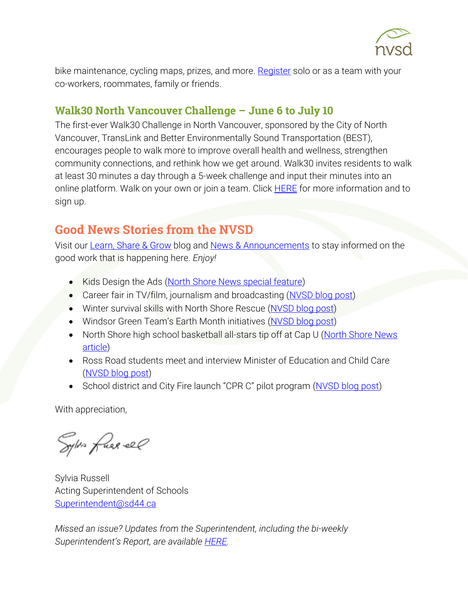

bike maintenance, cycling maps, prizes, and more. [Register](https://bikehub.ca/bike-events/go-by-bike-week) solo or as a team with your co-workers, roommates, family or friends.

#### Walk30 North Vancouver Challenge – June 6 to July 10

The first-ever Walk30 Challenge in North Vancouver, sponsored by the City of North Vancouver, TransLink and Better Environmentally Sound Transportation (BEST), encourages people to walk more to improve overall health and wellness, strengthen community connections, and rethink how we get around. Walk30 invites residents to walk at least 30 minutes a day through a 5-week challenge and input their minutes into an online platform. Walk on your own or join a team. Click **HERE** for more information and to sign up.

# Good News Stories from the NVSD

Visit our [Learn, Share & Grow](https://www.sd44.ca/District/LearnShareGrow/default.aspx#/) blog and [News & Announcements](https://www.sd44.ca/Pages/newsarchive.aspx?ListID=d00680b1-9ba1-4668-9328-d82dd27dacd4) to stay informed on the good work that is happening here. *Enjoy!*

- Kids Design the Ads [\(North Shore News special feature\)](https://www.sd44.ca/Pages/newsitem.aspx?ItemID=1115&ListID=d00680b1-9ba1-4668-9328-d82dd27dacd4&TemplateID=Announcement_Item#/=)
- Career fair in TV/film, journalism and broadcasting [\(NVSD blog post\)](https://www.sd44.ca/District/LearnShareGrow/default.aspx#/view/701)
- Winter survival skills with North Shore Rescue [\(NVSD blog post\)](https://www.sd44.ca/District/LearnShareGrow/default.aspx#/view/700)
- Windsor Green Team's Earth Month initiatives [\(NVSD blog post\)](https://www.sd44.ca/District/LearnShareGrow/default.aspx#/view/699)
- North Shore high school basketball all-stars tip off at Cap U [\(North Shore News](https://www.sd44.ca/Pages/newsitem.aspx?ItemID=1113&ListID=d00680b1-9ba1-4668-9328-d82dd27dacd4&TemplateID=Announcement_Item#/=)  [article\)](https://www.sd44.ca/Pages/newsitem.aspx?ItemID=1113&ListID=d00680b1-9ba1-4668-9328-d82dd27dacd4&TemplateID=Announcement_Item#/=)
- Ross Road students meet and interview Minister of Education and Child Care [\(NVSD blog post\)](https://www.sd44.ca/District/LearnShareGrow/default.aspx#/view/698)
- School district and City Fire launch "CPR C" pilot program [\(NVSD blog post\)](https://www.sd44.ca/District/LearnShareGrow/default.aspx#/view/696)

With appreciation,

Sylvis fues el

Sylvia Russell Acting Superintendent of Schools [Superintendent@sd44.ca](mailto:Superintendent@sd44.ca)

*Missed an issue? Updates from the Superintendent, including the bi-weekly Superintendent's Report, are available [HERE.](https://www.sd44.ca/parents/superintendentsupdates/Pages/default.aspx#/=)*